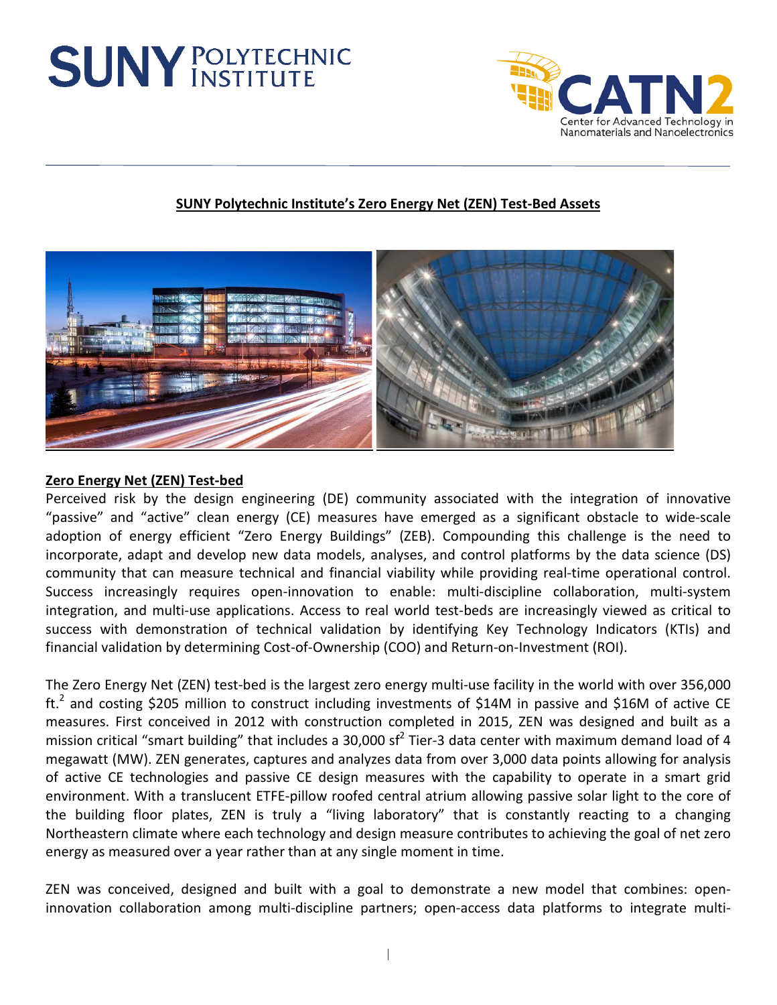## **SUNY POLYTECHNIC**



## **SUNY Polytechnic Institute's Zero Energy Net (ZEN) Test-Bed Assets**



## **Zero Energy Net (ZEN) Test-bed**

Perceived risk by the design engineering (DE) community associated with the integration of innovative "passive" and "active" clean energy (CE) measures have emerged as a significant obstacle to wide-scale adoption of energy efficient "Zero Energy Buildings" (ZEB). Compounding this challenge is the need to incorporate, adapt and develop new data models, analyses, and control platforms by the data science (DS) community that can measure technical and financial viability while providing real-time operational control. Success increasingly requires open-innovation to enable: multi-discipline collaboration, multi-system integration, and multi-use applications. Access to real world test-beds are increasingly viewed as critical to success with demonstration of technical validation by identifying Key Technology Indicators (KTIs) and financial validation by determining Cost-of-Ownership (COO) and Return-on-Investment (ROI).

The Zero Energy Net (ZEN) test-bed is the largest zero energy multi-use facility in the world with over 356,000 ft.<sup>2</sup> and costing \$205 million to construct including investments of \$14M in passive and \$16M of active CE measures. First conceived in 2012 with construction completed in 2015, ZEN was designed and built as a mission critical "smart building" that includes a 30,000 sf<sup>2</sup> Tier-3 data center with maximum demand load of 4 megawatt (MW). ZEN generates, captures and analyzes data from over 3,000 data points allowing for analysis of active CE technologies and passive CE design measures with the capability to operate in a smart grid environment. With a translucent ETFE-pillow roofed central atrium allowing passive solar light to the core of the building floor plates, ZEN is truly a "living laboratory" that is constantly reacting to a changing Northeastern climate where each technology and design measure contributes to achieving the goal of net zero energy as measured over a year rather than at any single moment in time.

ZEN was conceived, designed and built with a goal to demonstrate a new model that combines: openinnovation collaboration among multi-discipline partners; open-access data platforms to integrate multi